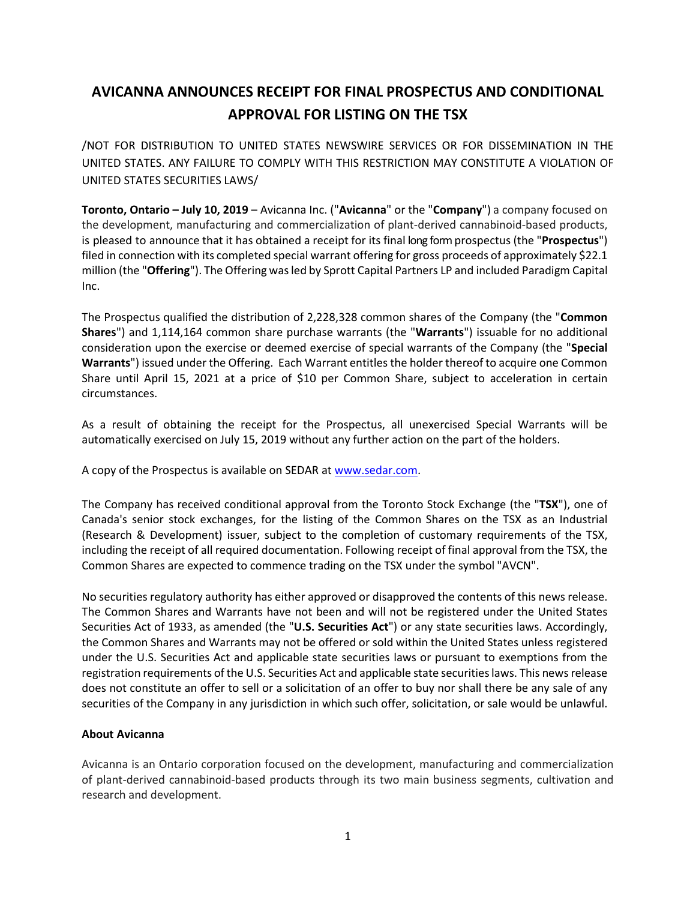## **AVICANNA ANNOUNCES RECEIPT FOR FINAL PROSPECTUS AND CONDITIONAL APPROVAL FOR LISTING ON THE TSX**

/NOT FOR DISTRIBUTION TO UNITED STATES NEWSWIRE SERVICES OR FOR DISSEMINATION IN THE UNITED STATES. ANY FAILURE TO COMPLY WITH THIS RESTRICTION MAY CONSTITUTE A VIOLATION OF UNITED STATES SECURITIES LAWS/

**Toronto, Ontario – July 10, 2019** – Avicanna Inc. ("**Avicanna**" or the "**Company**") a company focused on the development, manufacturing and commercialization of plant-derived cannabinoid-based products, is pleased to announce that it has obtained a receipt for its final long form prospectus (the "**Prospectus**") filed in connection with its completed special warrant offering for gross proceeds of approximately \$22.1 million (the "**Offering**"). The Offering was led by Sprott Capital Partners LP and included Paradigm Capital Inc.

The Prospectus qualified the distribution of 2,228,328 common shares of the Company (the "**Common Shares**") and 1,114,164 common share purchase warrants (the "**Warrants**") issuable for no additional consideration upon the exercise or deemed exercise of special warrants of the Company (the "**Special Warrants**") issued under the Offering. Each Warrant entitles the holder thereof to acquire one Common Share until April 15, 2021 at a price of \$10 per Common Share, subject to acceleration in certain circumstances.

As a result of obtaining the receipt for the Prospectus, all unexercised Special Warrants will be automatically exercised on July 15, 2019 without any further action on the part of the holders.

A copy of the Prospectus is available on SEDAR at www.sedar.com.

The Company has received conditional approval from the Toronto Stock Exchange (the "**TSX**"), one of Canada's senior stock exchanges, for the listing of the Common Shares on the TSX as an Industrial (Research & Development) issuer, subject to the completion of customary requirements of the TSX, including the receipt of all required documentation. Following receipt of final approval from the TSX, the Common Shares are expected to commence trading on the TSX under the symbol "AVCN".

No securities regulatory authority has either approved or disapproved the contents of this news release. The Common Shares and Warrants have not been and will not be registered under the United States Securities Act of 1933, as amended (the "**U.S. Securities Act**") or any state securities laws. Accordingly, the Common Shares and Warrants may not be offered or sold within the United States unless registered under the U.S. Securities Act and applicable state securities laws or pursuant to exemptions from the registration requirements of the U.S. Securities Act and applicable state securities laws. This news release does not constitute an offer to sell or a solicitation of an offer to buy nor shall there be any sale of any securities of the Company in any jurisdiction in which such offer, solicitation, or sale would be unlawful.

## **About Avicanna**

Avicanna is an Ontario corporation focused on the development, manufacturing and commercialization of plant-derived cannabinoid-based products through its two main business segments, cultivation and research and development.